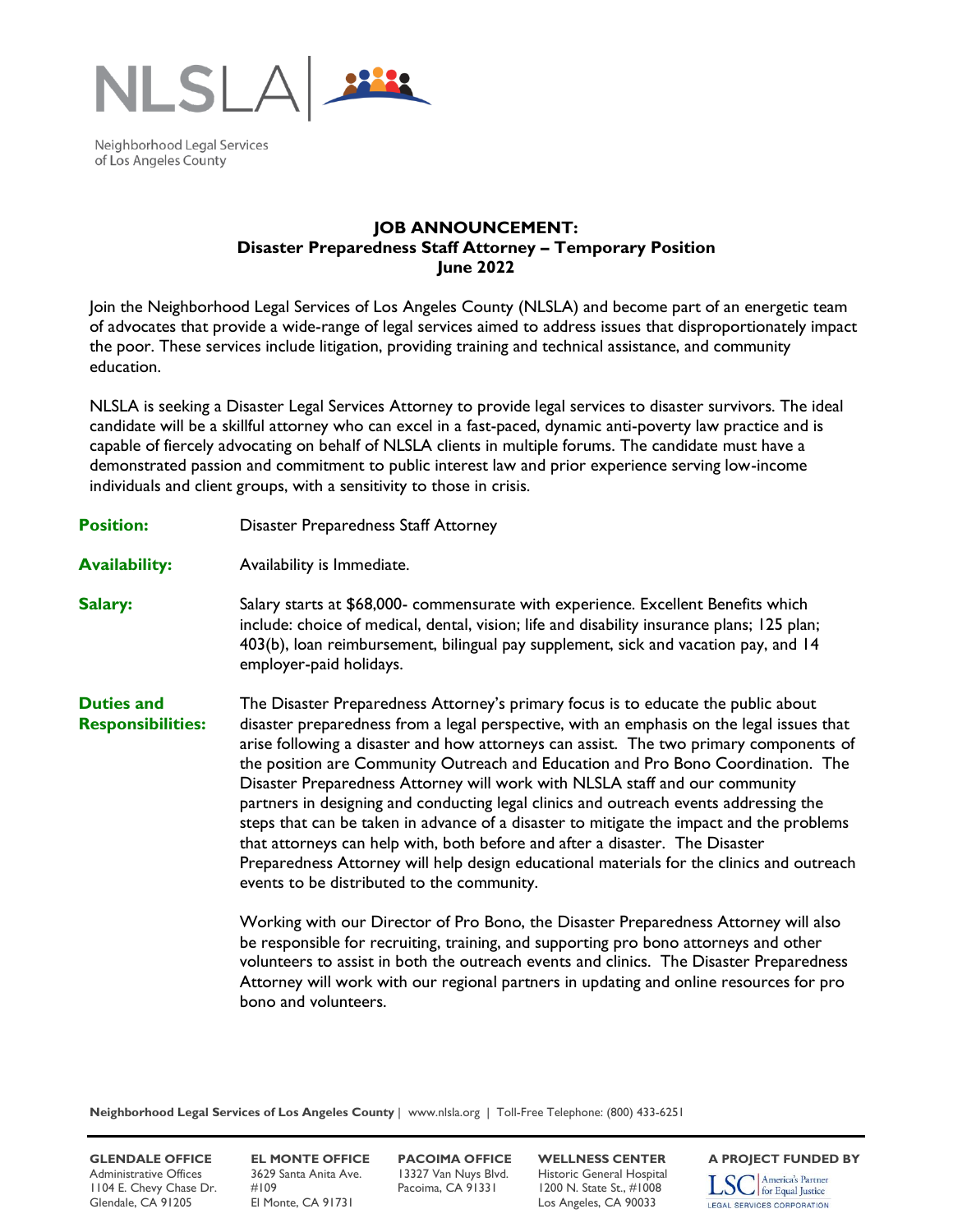

Neighborhood Legal Services of Los Angeles County

## **JOB ANNOUNCEMENT: Disaster Preparedness Staff Attorney – Temporary Position June 2022**

Join the Neighborhood Legal Services of Los Angeles County (NLSLA) and become part of an energetic team of advocates that provide a wide-range of legal services aimed to address issues that disproportionately impact the poor. These services include litigation, providing training and technical assistance, and community education.

NLSLA is seeking a Disaster Legal Services Attorney to provide legal services to disaster survivors. The ideal candidate will be a skillful attorney who can excel in a fast-paced, dynamic anti-poverty law practice and is capable of fiercely advocating on behalf of NLSLA clients in multiple forums. The candidate must have a demonstrated passion and commitment to public interest law and prior experience serving low-income individuals and client groups, with a sensitivity to those in crisis.

- **Position:** Disaster Preparedness Staff Attorney
- **Availability:** Availability is Immediate.
- **Salary:** Salary starts at \$68,000- commensurate with experience. Excellent Benefits which include: choice of medical, dental, vision; life and disability insurance plans; 125 plan; 403(b), loan reimbursement, bilingual pay supplement, sick and vacation pay, and 14 employer-paid holidays.

**Duties and Responsibilities:** The Disaster Preparedness Attorney's primary focus is to educate the public about disaster preparedness from a legal perspective, with an emphasis on the legal issues that arise following a disaster and how attorneys can assist. The two primary components of the position are Community Outreach and Education and Pro Bono Coordination. The Disaster Preparedness Attorney will work with NLSLA staff and our community partners in designing and conducting legal clinics and outreach events addressing the steps that can be taken in advance of a disaster to mitigate the impact and the problems that attorneys can help with, both before and after a disaster. The Disaster Preparedness Attorney will help design educational materials for the clinics and outreach events to be distributed to the community.

> Working with our Director of Pro Bono, the Disaster Preparedness Attorney will also be responsible for recruiting, training, and supporting pro bono attorneys and other volunteers to assist in both the outreach events and clinics. The Disaster Preparedness Attorney will work with our regional partners in updating and online resources for pro bono and volunteers.

**Neighborhood Legal Services of Los Angeles County** | www.nlsla.org | Toll-Free Telephone: (800) 433-6251

**GLENDALE OFFICE EL MONTE OFFICE PACOIMA OFFICE WELLNESS CENTER** A PROJECT FUNDED BY<br>Administrative Offices 3629 Santa Anita Ave. 13327 Van Nuys Blvd. Historic General Hospital **Terra America's Partner** Administrative Offices 3629 Santa Anita Ave. 13327 Van Nuys Blvd. Historic General Hospital<br>1104 E. Chevy Chase Dr. #109 Pacoima, CA 91331 1200 N. State St., #1008 1104 E. Chevy Chase Dr. #109 Pacoima, CA 91331 1200 N. State St., #1008 Glendale, CA 91205 El Monte, CA 91731 Los Angeles, CA 90033